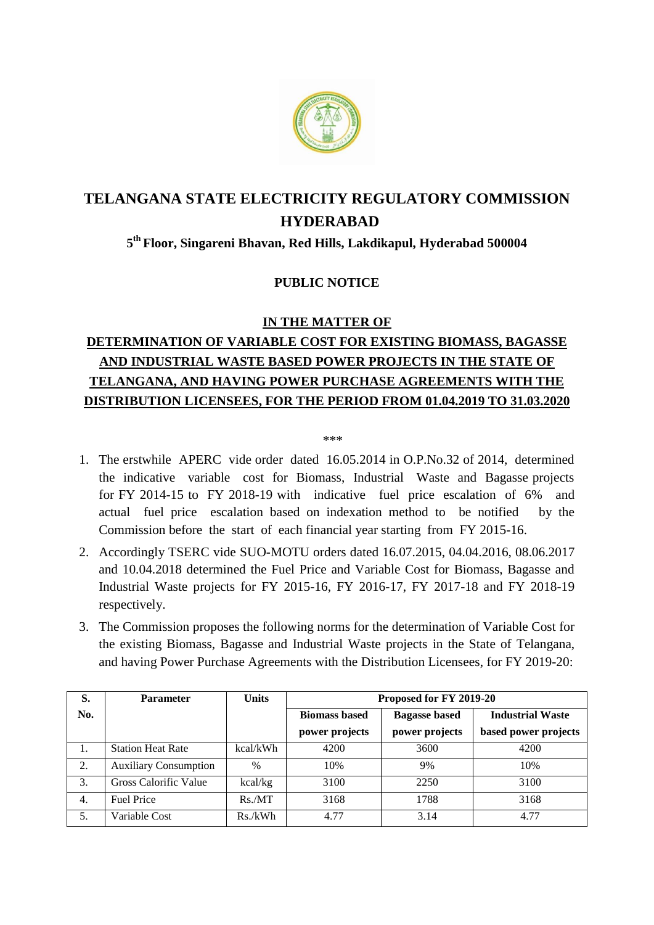

# **TELANGANA STATE ELECTRICITY REGULATORY COMMISSION HYDERABAD**

### **5 th Floor, Singareni Bhavan, Red Hills, Lakdikapul, Hyderabad 500004**

#### **PUBLIC NOTICE**

#### **IN THE MATTER OF**

## **DETERMINATION OF VARIABLE COST FOR EXISTING BIOMASS, BAGASSE AND INDUSTRIAL WASTE BASED POWER PROJECTS IN THE STATE OF TELANGANA, AND HAVING POWER PURCHASE AGREEMENTS WITH THE DISTRIBUTION LICENSEES, FOR THE PERIOD FROM 01.04.2019 TO 31.03.2020**

\*\*\*\*

- 1. The erstwhile APERC vide order dated 16.05.2014 in O.P.No.32 of 2014, determined the indicative variable cost for Biomass, Industrial Waste and Bagasse projects for FY 2014-15 to FY 2018-19 with indicative fuel price escalation of 6% and actual fuel price escalation based on indexation method to be notified by the Commission before the start of each financial year starting from FY 2015-16.
- 2. Accordingly TSERC vide SUO-MOTU orders dated 16.07.2015, 04.04.2016, 08.06.2017 and 10.04.2018 determined the Fuel Price and Variable Cost for Biomass, Bagasse and Industrial Waste projects for FY 2015-16, FY 2016-17, FY 2017-18 and FY 2018-19 respectively.
- 3. The Commission proposes the following norms for the determination of Variable Cost for the existing Biomass, Bagasse and Industrial Waste projects in the State of Telangana, and having Power Purchase Agreements with the Distribution Licensees, for FY 2019-20:

| S.  | <b>Parameter</b>             | <b>Units</b>  | Proposed for FY 2019-20 |                      |                         |
|-----|------------------------------|---------------|-------------------------|----------------------|-------------------------|
| No. |                              |               | <b>Biomass based</b>    | <b>Bagasse based</b> | <b>Industrial Waste</b> |
|     |                              |               | power projects          | power projects       | based power projects    |
| 1.  | <b>Station Heat Rate</b>     | kcal/kWh      | 4200                    | 3600                 | 4200                    |
| 2.  | <b>Auxiliary Consumption</b> | $\frac{0}{0}$ | 10%                     | 9%                   | 10%                     |
| 3.  | Gross Calorific Value        | kcal/kg       | 3100                    | 2250                 | 3100                    |
| 4.  | <b>Fuel Price</b>            | Rs.MT         | 3168                    | 1788                 | 3168                    |
| 5.  | Variable Cost                | Rs./kWh       | 4.77                    | 3.14                 | 4.77                    |